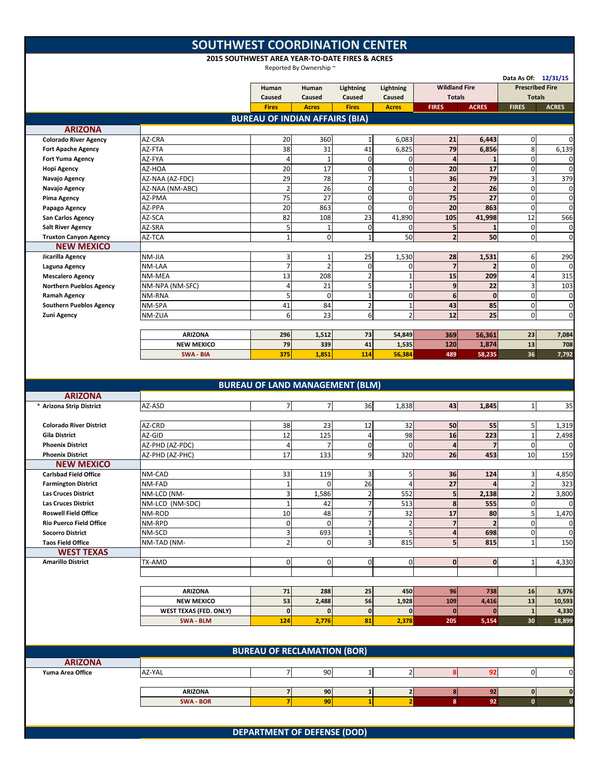## **SOUTHWEST COORDINATION CENTER**

**2015 SOUTHWEST AREA YEAR‐TO‐DATE FIRES & ACRES**

Reported By Ownership ~

|                                                               |                               |                                        | Reported By Ownership ~ |                     |                            |                      |                         |                                                |                  |
|---------------------------------------------------------------|-------------------------------|----------------------------------------|-------------------------|---------------------|----------------------------|----------------------|-------------------------|------------------------------------------------|------------------|
|                                                               |                               | Human                                  | Human                   | Lightning           | Lightning                  | <b>Wildland Fire</b> |                         | Data As Of: 12/31/15<br><b>Prescribed Fire</b> |                  |
|                                                               |                               | Caused                                 | Caused                  | Caused              | Caused                     | <b>Totals</b>        |                         | <b>Totals</b>                                  |                  |
|                                                               |                               | <b>Fires</b>                           | <b>Acres</b>            | <b>Fires</b>        | <b>Acres</b>               | <b>FIRES</b>         | <b>ACRES</b>            | <b>FIRES</b>                                   | <b>ACRES</b>     |
|                                                               |                               | <b>BUREAU OF INDIAN AFFAIRS (BIA)</b>  |                         |                     |                            |                      |                         |                                                |                  |
| <b>ARIZONA</b>                                                |                               |                                        |                         |                     |                            |                      |                         |                                                |                  |
| <b>Colorado River Agency</b>                                  | AZ-CRA                        | 20                                     | 360                     | 1                   | 6,083                      | 21                   | 6,443                   | 0                                              | 0                |
| <b>Fort Apache Agency</b>                                     | AZ-FTA                        | 38                                     | 31                      | 41<br>$\mathbf 0$   | 6,825                      | 79<br>$\overline{4}$ | 6,856                   | 8                                              | 6,139            |
| <b>Fort Yuma Agency</b><br><b>Hopi Agency</b>                 | AZ-FYA<br>AZ-HOA              | $\overline{4}$<br>20                   | $\mathbf{1}$<br>17      | $\mathbf 0$         | $\mathbf 0$<br>$\mathbf 0$ | 20                   | 17                      | $\mathbf 0$<br>$\overline{0}$                  | 0<br>0           |
| Navajo Agency                                                 | AZ-NAA (AZ-FDC)               | 29                                     | 78                      | $\overline{7}$      | $\mathbf{1}$               | 36                   | 79                      | 3                                              | 379              |
| Navajo Agency                                                 | AZ-NAA (NM-ABC)               | $\overline{2}$                         | 26                      | 0                   | $\mathbf 0$                | $\overline{2}$       | 26                      | 0                                              | 0                |
| Pima Agency                                                   | AZ-PMA                        | 75                                     | 27                      | $\Omega$            | $\mathbf 0$                | 75                   | 27                      | $\mathbf 0$                                    | 0                |
| Papago Agency                                                 | AZ-PPA                        | 20                                     | 863                     | $\mathbf 0$         | $\Omega$                   | 20                   | 863                     | $\mathbf 0$                                    | 0                |
| <b>San Carlos Agency</b>                                      | AZ-SCA                        | 82                                     | 108                     | 23                  | 41,890                     | 105                  | 41,998                  | 12                                             | 566              |
| <b>Salt River Agency</b>                                      | AZ-SRA                        | 5                                      | $\mathbf{1}$            | $\Omega$            | 0                          | 5                    |                         | $\mathbf 0$                                    | 0                |
| <b>Truxton Canyon Agency</b>                                  | AZ-TCA                        | $\mathbf{1}$                           | $\mathbf 0$             | $\mathbf{1}$        | 50                         | $\overline{2}$       | 50                      | $\mathbf 0$                                    | $\mathbf 0$      |
| <b>NEW MEXICO</b>                                             |                               |                                        |                         |                     |                            |                      |                         |                                                |                  |
| Jicarilla Agency                                              | NM-JIA                        | 3                                      | $\mathbf{1}$            | 25                  | 1,530                      | 28                   | 1,531                   | 6                                              | 290              |
| Laguna Agency                                                 | NM-LAA                        | $\overline{7}$                         | $\overline{2}$          | $\mathbf 0$         | 0                          | $\overline{7}$       | $\overline{\mathbf{z}}$ | $\mathbf 0$                                    | 0                |
| <b>Mescalero Agency</b>                                       | NM-MEA                        | 13                                     | 208                     | $\overline{2}$      | $\mathbf{1}$               | 15                   | 209                     | $\overline{4}$                                 | 315              |
| <b>Northern Pueblos Agency</b>                                | NM-NPA (NM-SFC)               | 4                                      | 21                      | 5                   | $\mathbf{1}$               | $\boldsymbol{9}$     | 22                      | 3                                              | 103              |
| <b>Ramah Agency</b>                                           | NM-RNA                        | 5                                      | $\mathbf 0$             | $\mathbf{1}$        | $\mathbf 0$                | $6\phantom{1}$       | $\mathbf{0}$            | $\mathbf 0$                                    | 0                |
| <b>Southern Pueblos Agency</b>                                | NM-SPA                        | 41                                     | 84                      | $\overline{2}$      | $\mathbf{1}$               | 43                   | 85                      | $\mathbf 0$                                    | 0                |
| <b>Zuni Agency</b>                                            | NM-ZUA                        | 6                                      | 23                      | 6                   | $\overline{2}$             | 12                   | 25                      | $\mathbf 0$                                    | $\mathbf 0$      |
|                                                               | <b>ARIZONA</b>                | 296                                    | 1,512                   | 73                  | 54,849                     | 369                  |                         | 23                                             | 7,084            |
|                                                               | <b>NEW MEXICO</b>             | 79                                     | 339                     | 41                  | 1,535                      | 120                  | 56,361<br>1,874         | 13                                             | 708              |
|                                                               | SWA - BIA                     | 375                                    | 1,851                   | 114                 | 56,384                     | 489                  | 58,235                  | 36                                             | 7,792            |
|                                                               |                               |                                        |                         |                     |                            |                      |                         |                                                |                  |
|                                                               |                               |                                        |                         |                     |                            |                      |                         |                                                |                  |
|                                                               |                               | <b>BUREAU OF LAND MANAGEMENT (BLM)</b> |                         |                     |                            |                      |                         |                                                |                  |
| <b>ARIZONA</b>                                                |                               |                                        |                         |                     |                            |                      |                         |                                                |                  |
| * Arizona Strip District                                      | AZ-ASD                        | $\overline{7}$                         | $\overline{7}$          | 36                  | 1,838                      | 43                   | 1,845                   | $\mathbf{1}$                                   | 35               |
|                                                               |                               |                                        |                         |                     |                            |                      |                         |                                                |                  |
| <b>Colorado River District</b>                                | AZ-CRD                        | 38                                     | 23                      | 12                  | 32                         | 50                   | 55                      | $\mathbf{5}$                                   | 1,319            |
| <b>Gila District</b>                                          | AZ-GID                        | 12                                     | 125                     | $\overline{A}$      | 98                         | 16                   | 223                     | $\mathbf{1}$                                   | 2,498            |
| <b>Phoenix District</b>                                       | AZ-PHD (AZ-PDC)               | $\overline{4}$                         | 7                       | $\mathbf 0$         | $\mathbf 0$                | $\overline{a}$       | 7                       | $\mathbf 0$                                    | 0                |
| <b>Phoenix District</b>                                       | AZ-PHD (AZ-PHC)               | 17                                     | 133                     | 9                   | 320                        | 26                   | 453                     | 10                                             | 159              |
| <b>NEW MEXICO</b>                                             |                               |                                        |                         |                     |                            |                      |                         |                                                |                  |
| <b>Carlsbad Field Office</b>                                  | NM-CAD                        | 33                                     | 119                     | 3                   | 5                          | 36                   | 124                     | 3                                              | 4,850            |
| <b>Farmington District</b>                                    | NM-FAD                        | $\mathbf{1}$                           | $\Omega$                | 26                  | $\overline{a}$             | 27                   |                         | $\overline{2}$                                 | 323              |
| <b>Las Cruces District</b>                                    | NM-LCD (NM-                   | 3                                      | 1,586                   | $\overline{2}$      | 552                        | 5                    | 2,138                   | $\overline{2}$                                 | 3,800            |
| <b>Las Cruces District</b>                                    | NM-LCD (NM-SDC)               | $\mathbf{1}$                           | 42                      | 7                   | 513                        | 8                    | 555                     | $\Omega$                                       | 0                |
| <b>Roswell Field Office</b><br><b>Rio Puerco Field Office</b> | NM-ROD                        | 10<br>$\mathbf 0$                      | 48<br>$\mathbf 0$       | $\overline{7}$<br>7 | 32                         | 17<br>$\overline{7}$ | 80<br>$\overline{2}$    | 5 <sub>l</sub><br>$\mathbf 0$                  | 1,470            |
| <b>Socorro District</b>                                       | NM-RPD<br>NM-SCD              | 3                                      | 693                     | $\mathbf{1}$        | $\overline{2}$<br>5        | 4                    | 698                     | $\mathbf 0$                                    | 0<br>$\mathbf 0$ |
| <b>Taos Field Office</b>                                      | NM-TAD (NM-                   | $\overline{2}$                         | $\mathbf 0$             | 3                   | 815                        | 5                    | 815                     | 1                                              | 150              |
| <b>WEST TEXAS</b>                                             |                               |                                        |                         |                     |                            |                      |                         |                                                |                  |
| <b>Amarillo District</b>                                      | TX-AMD                        | $\mathbf 0$                            | $\mathbf 0$             | $\mathbf 0$         | $\mathbf 0$                | $\bf{0}$             | $\bf{0}$                |                                                | 4,330            |
|                                                               |                               |                                        |                         |                     |                            |                      |                         |                                                |                  |
|                                                               |                               |                                        |                         |                     |                            |                      |                         |                                                |                  |
|                                                               | <b>ARIZONA</b>                | 71                                     | 288                     | 25                  | 450                        | 96                   | 738                     | 16                                             | 3,976            |
|                                                               | <b>NEW MEXICO</b>             | 53                                     | 2,488                   | 56                  | 1,928                      | 109                  | 4,416                   | 13                                             | 10,593           |
|                                                               | <b>WEST TEXAS (FED. ONLY)</b> | $\pmb{0}$                              | $\mathbf{0}$            | $\pmb{0}$           | 0                          | $\bf{0}$             | $\mathbf{0}$            | $\mathbf{1}$                                   | 4,330            |
|                                                               | SWA - BLM                     | 124                                    | 2,776                   | 81                  | 2,378                      | 205                  | 5,154                   | 30                                             | 18,899           |
|                                                               |                               |                                        |                         |                     |                            |                      |                         |                                                |                  |
|                                                               |                               |                                        |                         |                     |                            |                      |                         |                                                |                  |
|                                                               |                               | <b>BUREAU OF RECLAMATION (BOR)</b>     |                         |                     |                            |                      |                         |                                                |                  |
| <b>ARIZONA</b>                                                |                               |                                        |                         |                     |                            |                      |                         |                                                |                  |
| Yuma Area Office                                              | AZ-YAL                        | $\overline{7}$                         | 90                      | $\mathbf{1}$        | $\overline{2}$             | 8                    | 92                      | $\mathbf 0$                                    | 0                |
|                                                               |                               |                                        |                         |                     |                            |                      |                         |                                                |                  |
|                                                               | <b>ARIZONA</b>                | $\overline{\textbf{z}}$                | 90                      | ${\bf 1}$           | $\overline{\mathbf{c}}$    | $\bf{8}$             | 92                      | 0                                              | $\mathbf 0$      |
|                                                               | <b>SWA - BOR</b>              | $\overline{7}$                         | 90                      | $\mathbf{1}$        | $\overline{2}$             | 8                    | 92                      | $\mathbf{0}$                                   | $\mathbf 0$      |
|                                                               |                               |                                        |                         |                     |                            |                      |                         |                                                |                  |

**DEPARTMENT OF DEFENSE (DOD)**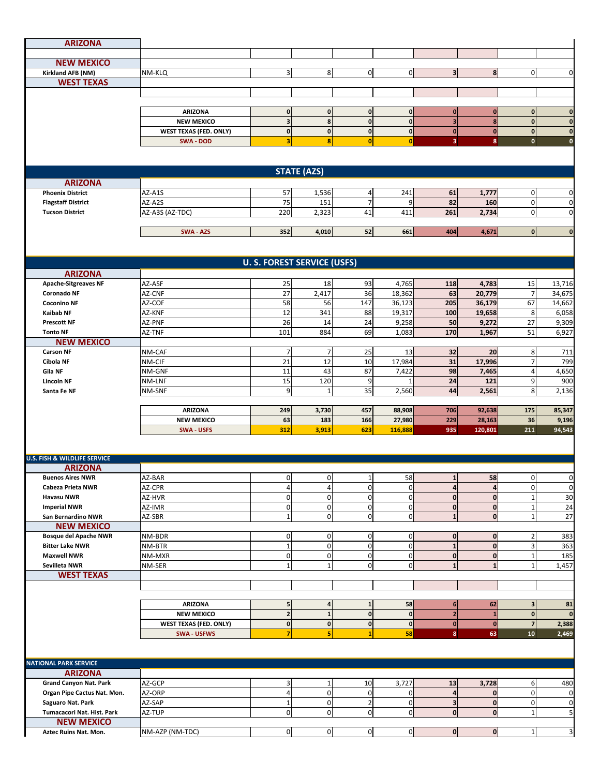| <b>ARIZONA</b>                                            |                                            |                                        |                    |                                |                               |                                      |                               |                                  |                             |
|-----------------------------------------------------------|--------------------------------------------|----------------------------------------|--------------------|--------------------------------|-------------------------------|--------------------------------------|-------------------------------|----------------------------------|-----------------------------|
|                                                           |                                            |                                        |                    |                                |                               |                                      |                               |                                  |                             |
| <b>NEW MEXICO</b><br>Kirkland AFB (NM)                    | NM-KLQ                                     | $\overline{3}$                         | 8                  | $\mathbf 0$                    | 0                             | $\overline{\mathbf{3}}$              | 8                             | $\mathbf 0$                      | $\mathbf 0$                 |
| <b>WEST TEXAS</b>                                         |                                            |                                        |                    |                                |                               |                                      |                               |                                  |                             |
|                                                           |                                            |                                        |                    |                                |                               |                                      |                               |                                  |                             |
|                                                           |                                            |                                        |                    |                                |                               |                                      |                               |                                  |                             |
|                                                           | <b>ARIZONA</b>                             | $\mathbf 0$                            | $\mathbf{0}$       | $\mathbf{0}$                   | 0                             | $\mathbf{0}$                         | $\mathbf 0$                   | $\overline{0}$                   | $\mathbf{0}$                |
|                                                           | <b>NEW MEXICO</b>                          | $\overline{\mathbf{3}}$                | 8                  | $\mathbf{0}$                   | $\mathbf{0}$                  | $\overline{\mathbf{3}}$              | 8                             | $\mathbf{0}$                     | $\mathbf{0}$                |
|                                                           | <b>WEST TEXAS (FED. ONLY)</b><br>SWA - DOD | $\mathbf 0$<br>$\overline{\mathbf{3}}$ | $\bf{0}$<br>8      | $\mathbf{0}$<br>$\overline{0}$ | 0 <br>$\mathbf{0}$            | $\pmb{0}$<br>$\overline{\mathbf{3}}$ | $\mathbf 0$<br>8 <sup>1</sup> | 0 <br>$\mathbf 0$                | $\mathbf 0$<br>$\mathbf{o}$ |
|                                                           |                                            |                                        |                    |                                |                               |                                      |                               |                                  |                             |
|                                                           |                                            |                                        |                    |                                |                               |                                      |                               |                                  |                             |
| <b>ARIZONA</b>                                            |                                            |                                        | <b>STATE (AZS)</b> |                                |                               |                                      |                               |                                  |                             |
| <b>Phoenix District</b>                                   | AZ-A1S                                     | 57                                     | 1,536              | $\overline{a}$                 | 241                           | 61                                   | 1,777                         | $\overline{0}$                   | 0                           |
| <b>Flagstaff District</b>                                 | AZ-A2S                                     | 75                                     | 151                | $\overline{7}$                 | 9                             | 82                                   | 160                           | $\mathbf 0$                      | $\mathbf 0$                 |
| <b>Tucson District</b>                                    | AZ-A3S (AZ-TDC)                            | 220                                    | 2,323              | 41                             | 411                           | 261                                  | 2,734                         | $\overline{0}$                   | $\mathbf 0$                 |
|                                                           |                                            |                                        |                    |                                |                               |                                      |                               |                                  |                             |
|                                                           | SWA - AZS                                  | 352                                    | 4,010              | 52                             | 661                           | 404                                  | 4,671                         | $\mathbf{0}$                     | $\mathbf 0$                 |
|                                                           |                                            |                                        |                    |                                |                               |                                      |                               |                                  |                             |
|                                                           |                                            | <b>U.S. FOREST SERVICE (USFS)</b>      |                    |                                |                               |                                      |                               |                                  |                             |
| <b>ARIZONA</b>                                            |                                            |                                        |                    |                                |                               |                                      |                               |                                  |                             |
| <b>Apache-Sitgreaves NF</b><br><b>Coronado NF</b>         | AZ-ASF<br>AZ-CNF                           | 25<br>27                               | 18<br>2,417        | 93<br>36                       | 4,765<br>18,362               | 118<br>63                            | 4,783<br>20,779               | 15<br>7                          | 13,716<br>34,675            |
| <b>Coconino NF</b>                                        | AZ-COF                                     | 58                                     | 56                 | 147                            | 36,123                        | 205                                  | 36,179                        | 67                               | 14,662                      |
| <b>Kaibab NF</b>                                          | AZ-KNF                                     | 12                                     | 341                | 88                             | 19,317                        | 100                                  | 19,658                        | 8                                | 6,058                       |
| <b>Prescott NF</b>                                        | AZ-PNF                                     | 26                                     | 14                 | 24                             | 9,258                         | 50                                   | 9,272                         | 27                               | 9,309                       |
| <b>Tonto NF</b>                                           | AZ-TNF                                     | 101                                    | 884                | 69                             | 1,083                         | 170                                  | 1,967                         | 51                               | 6,927                       |
| <b>NEW MEXICO</b>                                         |                                            |                                        |                    |                                |                               |                                      |                               |                                  |                             |
| <b>Carson NF</b>                                          | NM-CAF                                     | $\overline{7}$                         | 7                  | 25                             | 13                            | 32                                   | 20                            | 8                                | 711                         |
| Cibola NF<br>Gila NF                                      | NM-CIF<br>NM-GNF                           | 21<br>11                               | 12<br>43           | 10<br>87                       | 17,984<br>7,422               | 31<br>98                             | 17,996<br>7,465               | $\overline{7}$<br>$\overline{4}$ | 799<br>4,650                |
| <b>Lincoln NF</b>                                         | NM-LNF                                     | 15                                     | 120                | 9                              |                               | 24                                   | 121                           | 9                                | 900                         |
| Santa Fe NF                                               | NM-SNF                                     | 9                                      | $\mathbf{1}$       | 35                             | 2,560                         | 44                                   | 2,561                         | 8                                | 2,136                       |
|                                                           |                                            |                                        |                    |                                |                               |                                      |                               |                                  |                             |
|                                                           | <b>ARIZONA</b>                             | 249                                    | 3,730              | 457                            | 88,908                        | 706                                  | 92,638                        | 175                              | 85,347                      |
|                                                           | <b>NEW MEXICO</b>                          | 63                                     | 183                | 166                            | 27,980                        | 229                                  | 28,163                        | 36                               | 9,196                       |
|                                                           | <b>SWA - USFS</b>                          | 312                                    | 3,913              | 623                            | 116,888                       | 935                                  | 120,801                       | 211                              | 94,543                      |
|                                                           |                                            |                                        |                    |                                |                               |                                      |                               |                                  |                             |
| <b>U.S. FISH &amp; WILDLIFE SERVICE</b><br><b>ARIZONA</b> |                                            |                                        |                    |                                |                               |                                      |                               |                                  |                             |
| <b>Buenos Aires NWR</b>                                   | AZ-BAR                                     | $\mathbf{0}$                           | 0                  | 1                              | 58                            | $\mathbf{1}$                         | 58                            | 0                                | 0                           |
| Cabeza Prieta NWR                                         | AZ-CPR                                     | $\overline{4}$                         | $\overline{4}$     | $\mathbf 0$                    | $\mathbf 0$                   | 4                                    | 4                             | $\overline{0}$                   | $\mathbf 0$                 |
| <b>Havasu NWR</b>                                         | AZ-HVR                                     | $\mathbf 0$                            | 0                  | $\overline{0}$                 | $\mathbf 0$                   | $\mathbf 0$                          | $\mathbf 0$                   | 1                                | 30                          |
| <b>Imperial NWR</b>                                       | AZ-IMR                                     | $\mathbf 0$                            | $\mathbf 0$        | $\mathbf 0$                    | $\overline{0}$                | $\mathbf{0}$                         | $\mathbf 0$                   | 1                                | 24                          |
| San Bernardino NWR                                        | AZ-SBR                                     | $\mathbf{1}$                           | $\mathbf 0$        | $\mathbf 0$                    | $\mathbf 0$                   | $\overline{1}$                       | $\mathbf 0$                   | $\mathbf{1}$                     | 27                          |
| <b>NEW MEXICO</b>                                         |                                            |                                        |                    |                                |                               |                                      |                               |                                  |                             |
| <b>Bosque del Apache NWR</b><br><b>Bitter Lake NWR</b>    | NM-BDR<br>NM-BTR                           | $\pmb{0}$<br>$\mathbf{1}$              | 0<br>0             | $\mathbf 0$<br>$\mathbf 0$     | $\overline{0}$<br>$\mathbf 0$ | $\mathbf 0$<br>$\mathbf{1}$          | $\pmb{0}$<br>$\mathbf 0$      | $\overline{2}$                   | 383<br>363                  |
| <b>Maxwell NWR</b>                                        | NM-MXR                                     | $\overline{0}$                         | $\mathbf 0$        | $\mathbf 0$                    | $\overline{0}$                | $\mathbf{0}$                         | $\mathbf{0}$                  | 1                                | 185                         |
| Sevilleta NWR                                             | NM-SER                                     | $\mathbf{1}$                           | $\mathbf{1}$       | $\overline{0}$                 | $\overline{0}$                | $\mathbf{1}$                         | $\mathbf{1}$                  |                                  | 1,457                       |
| <b>WEST TEXAS</b>                                         |                                            |                                        |                    |                                |                               |                                      |                               |                                  |                             |
|                                                           |                                            |                                        |                    |                                |                               |                                      |                               |                                  |                             |
|                                                           |                                            |                                        |                    |                                |                               |                                      |                               |                                  |                             |
|                                                           | <b>ARIZONA</b><br><b>NEW MEXICO</b>        | 5<br>$\overline{\mathbf{c}}$           | 4<br>$\mathbf{1}$  | 1<br>$\mathbf{0}$              | 58<br>$\mathbf{0}$            | 6<br>$\overline{2}$                  | 62<br>$\mathbf{1}$            | $\mathbf{3}$<br>$\mathbf{0}$     | 81<br>$\mathbf 0$           |
|                                                           | <b>WEST TEXAS (FED. ONLY)</b>              | $\mathbf{0}$                           | $\mathbf{0}$       | $\mathbf{0}$                   | 0                             | $\mathbf{0}$                         | $\mathbf 0$                   | $\overline{7}$                   | 2,388                       |
|                                                           | <b>SWA - USFWS</b>                         | $\overline{7}$                         | 5                  | $\mathbf{1}$                   | 58                            | 8                                    | 63                            | 10                               | 2,469                       |
|                                                           |                                            |                                        |                    |                                |                               |                                      |                               |                                  |                             |
| <b>NATIONAL PARK SERVICE</b>                              |                                            |                                        |                    |                                |                               |                                      |                               |                                  |                             |
| <b>ARIZONA</b>                                            |                                            |                                        |                    |                                |                               |                                      |                               |                                  |                             |
| <b>Grand Canyon Nat. Park</b>                             | AZ-GCP                                     | $\mathsf 3$                            | $\mathbf{1}$       | 10                             | 3,727                         | 13                                   | 3,728                         | 6                                | 480                         |
| Organ Pipe Cactus Nat. Mon.                               | AZ-ORP                                     | $\overline{\mathbf{4}}$                | $\mathbf 0$        | $\mathbf 0$                    | $\mathbf 0$                   | $\overline{4}$                       | $\mathbf{0}$                  | $\mathbf 0$                      | 0                           |
| Saguaro Nat. Park                                         | AZ-SAP                                     | $\mathbf 1$                            | $\mathbf 0$        | $\mathbf{2}$                   | $\overline{0}$                | 3                                    | $\mathbf{0}$                  | $\overline{0}$                   | $\mathbf 0$                 |
| Tumacacori Nat. Hist. Park                                | AZ-TUP                                     | $\mathbf 0$                            | $\mathbf 0$        | $\mathbf 0$                    | $\overline{0}$                | $\mathbf{0}$                         | $\mathbf 0$                   | $\mathbf{1}$                     | 5                           |
| <b>NEW MEXICO</b><br>Aztec Ruins Nat. Mon.                | NM-AZP (NM-TDC)                            | $\overline{0}$                         | $\overline{0}$     | $\overline{0}$                 | 0                             | $\mathbf{0}$                         | $\mathbf 0$                   | $1\vert$                         | 3                           |
|                                                           |                                            |                                        |                    |                                |                               |                                      |                               |                                  |                             |